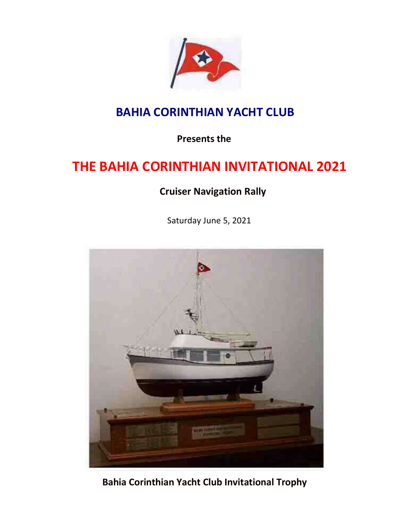

## **BAHIA CORINTHIAN YACHT CLUB**

**Presents the**

# **THE BAHIA CORINTHIAN INVITATIONAL 2021**

#### **Cruiser Navigation Rally**

Saturday June 5, 2021



 **Bahia Corinthian Yacht Club Invitational Trophy**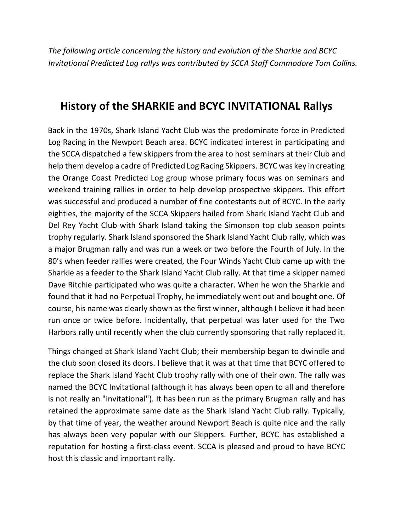*The following article concerning the history and evolution of the Sharkie and BCYC Invitational Predicted Log rallys was contributed by SCCA Staff Commodore Tom Collins.* 

#### **History of the SHARKIE and BCYC INVITATIONAL Rallys**

Back in the 1970s, Shark Island Yacht Club was the predominate force in Predicted Log Racing in the Newport Beach area. BCYC indicated interest in participating and the SCCA dispatched a few skippers from the area to host seminars at their Club and help them develop a cadre of Predicted Log Racing Skippers. BCYC was key in creating the Orange Coast Predicted Log group whose primary focus was on seminars and weekend training rallies in order to help develop prospective skippers. This effort was successful and produced a number of fine contestants out of BCYC. In the early eighties, the majority of the SCCA Skippers hailed from Shark Island Yacht Club and Del Rey Yacht Club with Shark Island taking the Simonson top club season points trophy regularly. Shark Island sponsored the Shark Island Yacht Club rally, which was a major Brugman rally and was run a week or two before the Fourth of July. In the 80's when feeder rallies were created, the Four Winds Yacht Club came up with the Sharkie as a feeder to the Shark Island Yacht Club rally. At that time a skipper named Dave Ritchie participated who was quite a character. When he won the Sharkie and found that it had no Perpetual Trophy, he immediately went out and bought one. Of course, his name was clearly shown as the first winner, although I believe it had been run once or twice before. Incidentally, that perpetual was later used for the Two Harbors rally until recently when the club currently sponsoring that rally replaced it.

Things changed at Shark Island Yacht Club; their membership began to dwindle and the club soon closed its doors. I believe that it was at that time that BCYC offered to replace the Shark Island Yacht Club trophy rally with one of their own. The rally was named the BCYC Invitational (although it has always been open to all and therefore is not really an "invitational"). It has been run as the primary Brugman rally and has retained the approximate same date as the Shark Island Yacht Club rally. Typically, by that time of year, the weather around Newport Beach is quite nice and the rally has always been very popular with our Skippers. Further, BCYC has established a reputation for hosting a first-class event. SCCA is pleased and proud to have BCYC host this classic and important rally.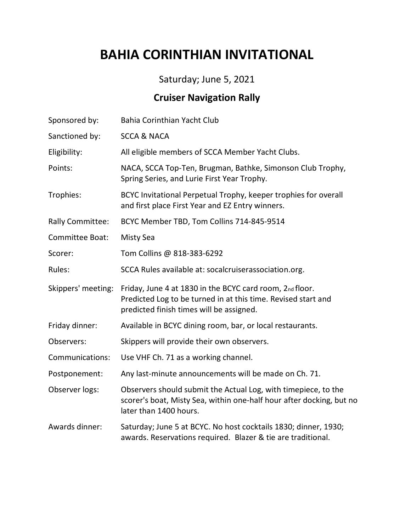# **BAHIA CORINTHIAN INVITATIONAL**

#### Saturday; June 5, 2021

#### **Cruiser Navigation Rally**

| Sponsored by:           | Bahia Corinthian Yacht Club                                                                                                                                           |
|-------------------------|-----------------------------------------------------------------------------------------------------------------------------------------------------------------------|
| Sanctioned by:          | <b>SCCA &amp; NACA</b>                                                                                                                                                |
| Eligibility:            | All eligible members of SCCA Member Yacht Clubs.                                                                                                                      |
| Points:                 | NACA, SCCA Top-Ten, Brugman, Bathke, Simonson Club Trophy,<br>Spring Series, and Lurie First Year Trophy.                                                             |
| Trophies:               | BCYC Invitational Perpetual Trophy, keeper trophies for overall<br>and first place First Year and EZ Entry winners.                                                   |
| <b>Rally Committee:</b> | BCYC Member TBD, Tom Collins 714-845-9514                                                                                                                             |
| <b>Committee Boat:</b>  | <b>Misty Sea</b>                                                                                                                                                      |
| Scorer:                 | Tom Collins @ 818-383-6292                                                                                                                                            |
| Rules:                  | SCCA Rules available at: socalcruiserassociation.org.                                                                                                                 |
| Skippers' meeting:      | Friday, June 4 at 1830 in the BCYC card room, 2nd floor.<br>Predicted Log to be turned in at this time. Revised start and<br>predicted finish times will be assigned. |
| Friday dinner:          | Available in BCYC dining room, bar, or local restaurants.                                                                                                             |
| Observers:              | Skippers will provide their own observers.                                                                                                                            |
| Communications:         | Use VHF Ch. 71 as a working channel.                                                                                                                                  |
| Postponement:           | Any last-minute announcements will be made on Ch. 71.                                                                                                                 |
| Observer logs:          | Observers should submit the Actual Log, with timepiece, to the<br>scorer's boat, Misty Sea, within one-half hour after docking, but no<br>later than 1400 hours.      |
| Awards dinner:          | Saturday; June 5 at BCYC. No host cocktails 1830; dinner, 1930;<br>awards. Reservations required. Blazer & tie are traditional.                                       |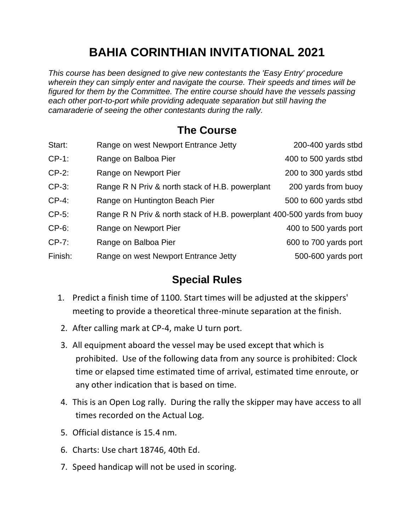## **BAHIA CORINTHIAN INVITATIONAL 2021**

*This course has been designed to give new contestants the 'Easy Entry' procedure wherein they can simply enter and navigate the course. Their speeds and times will be figured for them by the Committee. The entire course should have the vessels passing each other port-to-port while providing adequate separation but still having the camaraderie of seeing the other contestants during the rally.*

#### **The Course**

| Start:   | Range on west Newport Entrance Jetty                                    | 200-400 yards stbd    |
|----------|-------------------------------------------------------------------------|-----------------------|
| $CP-1$ : | Range on Balboa Pier                                                    | 400 to 500 yards stbd |
| $CP-2$ : | Range on Newport Pier                                                   | 200 to 300 yards stbd |
| $CP-3$ : | Range R N Priv & north stack of H.B. powerplant                         | 200 yards from buoy   |
| $CP-4$ : | Range on Huntington Beach Pier                                          | 500 to 600 yards stbd |
| $CP-5$ : | Range R N Priv & north stack of H.B. powerplant 400-500 yards from buoy |                       |
| $CP-6$ : | Range on Newport Pier                                                   | 400 to 500 yards port |
| $CP-7:$  | Range on Balboa Pier                                                    | 600 to 700 yards port |
| Finish:  | Range on west Newport Entrance Jetty                                    | 500-600 yards port    |

#### **Special Rules**

- 1. Predict a finish time of 1100. Start times will be adjusted at the skippers' meeting to provide a theoretical three-minute separation at the finish.
- 2. After calling mark at CP-4, make U turn port.
- 3. All equipment aboard the vessel may be used except that which is prohibited. Use of the following data from any source is prohibited: Clock time or elapsed time estimated time of arrival, estimated time enroute, or any other indication that is based on time.
- 4. This is an Open Log rally. During the rally the skipper may have access to all times recorded on the Actual Log.
- 5. Official distance is 15.4 nm.
- 6. Charts: Use chart 18746, 40th Ed.
- 7. Speed handicap will not be used in scoring.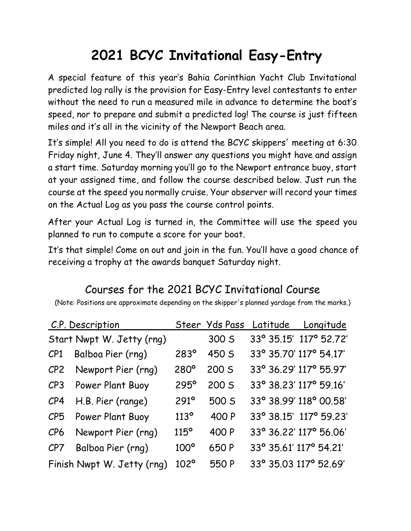# **2021 BCYC Invitational Easy-Entry**

A special feature of this year's Bahia Corinthian Yacht Club Invitational predicted log rally is the provision for Easy-Entry level contestants to enter without the need to run a measured mile in advance to determine the boat's speed, nor to prepare and submit a predicted log! The course is just fifteen miles and it's all in the vicinity of the Newport Beach area.

It's simple! All you need to do is attend the BCYC skippers' meeting at 6:30 Friday night, June 4. They'll answer any questions you might have and assign a start time. Saturday morning you'll go to the Newport entrance buoy, start at your assigned time, and follow the course described below. Just run the course at the speed you normally cruise. Your observer will record your times on the Actual Log as you pass the course control points.

After your Actual Log is turned in, the Committee will use the speed you planned to run to compute a score for your boat.

It's that simple! Come on out and join in the fun. You'll have a good chance of receiving a trophy at the awards banquet Saturday night.

|                 | C.P. Description           |                  |       | Steer Yds Pass Latitude | Longitude              |
|-----------------|----------------------------|------------------|-------|-------------------------|------------------------|
|                 | Start Nwpt W. Jetty (rng)  |                  | 300 S |                         | 33° 35.15' 117° 52.72' |
| CP1             | Balboa Pier (rng)          | 283°             | 450 S |                         | 33° 35.70' 117° 54.17' |
| CP <sub>2</sub> | Newport Pier (rng)         | $280^\circ$      | 200 S |                         | 33° 36.29' 117° 55.97' |
| CP3             | Power Plant Buoy           | $295^\circ$      | 200 S |                         | 33° 38.23' 117° 59.16' |
| CP4             | H.B. Pier (range)          | $291^\circ$      | 500 S |                         | 33° 38.99' 118° 00.58' |
| CP <sub>5</sub> | Power Plant Buoy           | 113 <sup>o</sup> | 400 P |                         | 33° 38.15' 117° 59.23' |
| CP6             | Newport Pier (rng)         | $115^{\circ}$    | 400 P |                         | 33° 36.22' 117° 56.06' |
| CP7             | Balboa Pier (rng)          | $100^\circ$      | 650P  | 33° 35.61' 117° 54.21'  |                        |
|                 | Finish Nwpt W. Jetty (rng) | 102 <sup>o</sup> | 550 P |                         | 33° 35.03 117° 52.69'  |

## Courses for the 2021 BCYC Invitational Course

(Note: Positions are approximate depending on the skipper's planned yardage from the marks.)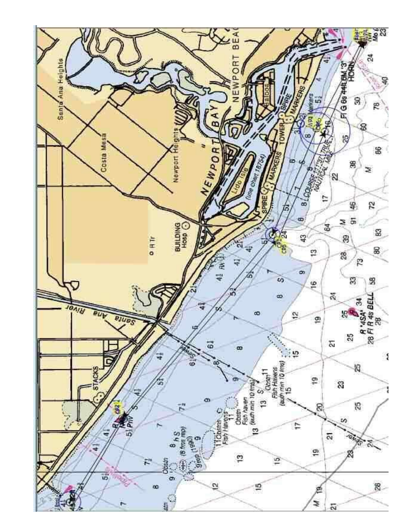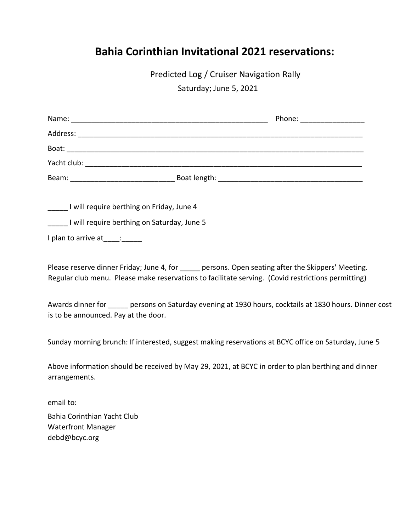#### **Bahia Corinthian Invitational 2021 reservations:**

Predicted Log / Cruiser Navigation Rally

Saturday; June 5, 2021

| _____I will require berthing on Friday, June 4                                         |                                                                                                                                                                                                                                                                                                                                                                                                                                                                                                                                   |
|----------------------------------------------------------------------------------------|-----------------------------------------------------------------------------------------------------------------------------------------------------------------------------------------------------------------------------------------------------------------------------------------------------------------------------------------------------------------------------------------------------------------------------------------------------------------------------------------------------------------------------------|
| _____I will require berthing on Saturday, June 5                                       |                                                                                                                                                                                                                                                                                                                                                                                                                                                                                                                                   |
| I plan to arrive at _____: _____                                                       |                                                                                                                                                                                                                                                                                                                                                                                                                                                                                                                                   |
| is to be announced. Pay at the door.<br>arrangements.                                  | Please reserve dinner Friday; June 4, for _____ persons. Open seating after the Skippers' Meeting.<br>Regular club menu. Please make reservations to facilitate serving. (Covid restrictions permitting)<br>Awards dinner for _____ persons on Saturday evening at 1930 hours, cocktails at 1830 hours. Dinner cost<br>Sunday morning brunch: If interested, suggest making reservations at BCYC office on Saturday, June 5<br>Above information should be received by May 29, 2021, at BCYC in order to plan berthing and dinner |
| email to:<br>Bahia Corinthian Yacht Club<br><b>Waterfront Manager</b><br>debd@bcyc.org |                                                                                                                                                                                                                                                                                                                                                                                                                                                                                                                                   |